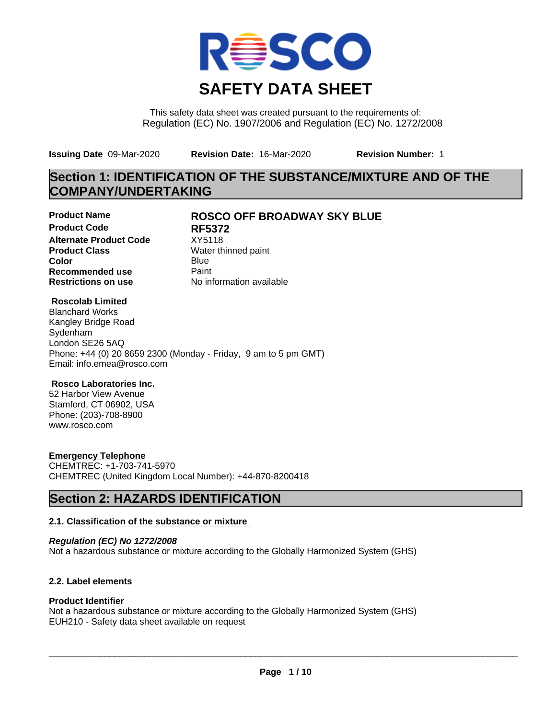

This safety data sheet was created pursuant to the requirements of: Regulation (EC) No. 1907/2006 and Regulation (EC) No. 1272/2008

**Issuing Date** 09-Mar-2020 **Revision Date:** 16-Mar-2020 **Revision Number:** 1

# **Section 1: IDENTIFICATION OF THE SUBSTANCE/MIXTURE AND OF THE COMPANY/UNDERTAKING**

**Product Code RF5372 Alternate Product Code** XY5118<br> **Product Class** Water th **Color** Blue Blue **Recommended use** Paint<br> **Restrictions on use** Mo information available **Restrictions on use** 

### **Product Name ROSCO OFF BROADWAY SKY BLUE**

**Water thinned paint** 

#### **Roscolab Limited**

Blanchard Works Kangley Bridge Road Sydenham London SE26 5AQ Phone: +44 (0) 20 8659 2300 (Monday - Friday, 9 am to 5 pm GMT) Email: info.emea@rosco.com

#### **Rosco Laboratories Inc.**

52 Harbor View Avenue Stamford, CT 06902, USA Phone: (203)-708-8900 www.rosco.com

#### **Emergency Telephone**

CHEMTREC: +1-703-741-5970 CHEMTREC (United Kingdom Local Number): +44-870-8200418

# **Section 2: HAZARDS IDENTIFICATION**

#### **2.1. Classification of the substance or mixture**

*Regulation (EC) No 1272/2008* Not a hazardous substance or mixture according to the Globally Harmonized System (GHS)

#### **2.2. Label elements**

#### **Product Identifier**

Not a hazardous substance or mixture according to the Globally Harmonized System (GHS) EUH210 - Safety data sheet available on request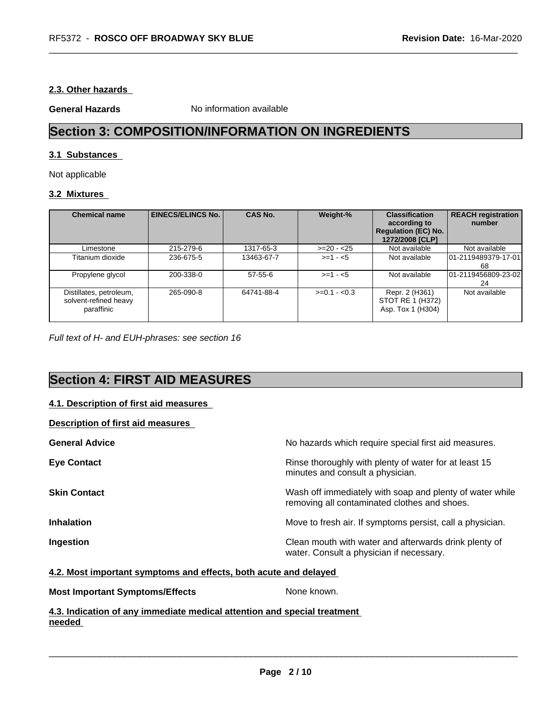#### **2.3. Other hazards**

**General Hazards** No information available

# **Section 3: COMPOSITION/INFORMATION ON INGREDIENTS**

#### **3.1 Substances**

Not applicable

#### **3.2 Mixtures**

| <b>Chemical name</b>                                           | <b>EINECS/ELINCS No.</b> | <b>CAS No.</b> | Weight-%      | <b>Classification</b><br>according to<br><b>Regulation (EC) No.</b><br>1272/2008 [CLP] | <b>REACH registration</b><br>number |
|----------------------------------------------------------------|--------------------------|----------------|---------------|----------------------------------------------------------------------------------------|-------------------------------------|
| _imestone                                                      | 215-279-6                | 1317-65-3      | $>=20 - 25$   | Not available                                                                          | Not available                       |
| Titanium dioxide                                               | 236-675-5                | 13463-67-7     | $>= 1 - 5$    | Not available                                                                          | 101-2119489379-17-01<br>68          |
| Propylene glycol                                               | 200-338-0                | $57-55-6$      | $>=1 - 5$     | Not available                                                                          | 101-2119456809-23-021<br>24         |
| Distillates, petroleum,<br>solvent-refined heavy<br>paraffinic | 265-090-8                | 64741-88-4     | $>=0.1 - 0.3$ | Repr. 2 (H361)<br>STOT RE 1 (H372)<br>Asp. Tox 1 (H304)                                | Not available                       |

*Full text of H- and EUH-phrases: see section 16*

# **Section 4: FIRST AID MEASURES**

#### **4.1. Description of first aid measures**

**Description of first aid measures**

| <b>General Advice</b> | No hazards which require special first aid measures.                                                     |
|-----------------------|----------------------------------------------------------------------------------------------------------|
| <b>Eye Contact</b>    | Rinse thoroughly with plenty of water for at least 15<br>minutes and consult a physician.                |
| <b>Skin Contact</b>   | Wash off immediately with soap and plenty of water while<br>removing all contaminated clothes and shoes. |
| <b>Inhalation</b>     | Move to fresh air. If symptoms persist, call a physician.                                                |
| Ingestion             | Clean mouth with water and afterwards drink plenty of<br>water. Consult a physician if necessary.        |

#### **4.2. Most important symptoms and effects, both acute and delayed**

**Most Important Symptoms/Effects** None known.

 $\overline{\phantom{a}}$  ,  $\overline{\phantom{a}}$  ,  $\overline{\phantom{a}}$  ,  $\overline{\phantom{a}}$  ,  $\overline{\phantom{a}}$  ,  $\overline{\phantom{a}}$  ,  $\overline{\phantom{a}}$  ,  $\overline{\phantom{a}}$  ,  $\overline{\phantom{a}}$  ,  $\overline{\phantom{a}}$  ,  $\overline{\phantom{a}}$  ,  $\overline{\phantom{a}}$  ,  $\overline{\phantom{a}}$  ,  $\overline{\phantom{a}}$  ,  $\overline{\phantom{a}}$  ,  $\overline{\phantom{a}}$ 

**4.3. Indication of any immediate medical attention and special treatment needed**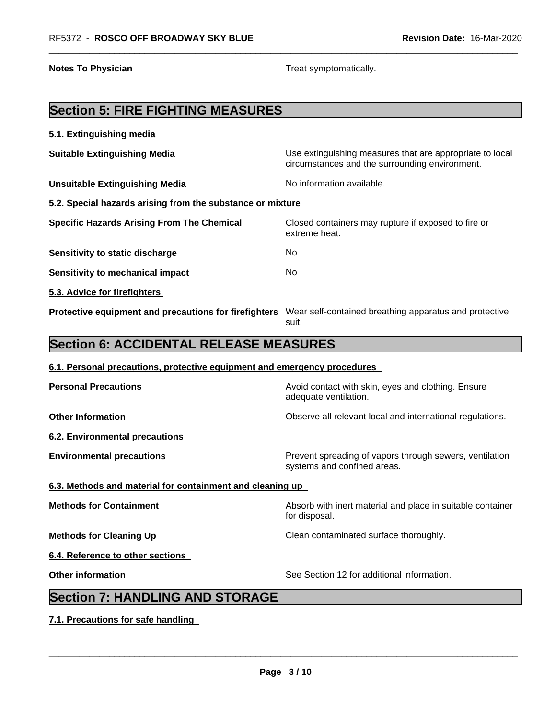**Notes To Physician Treat symptomatically.** Treat symptomatically.

# **Section 5: FIRE FIGHTING MEASURES**

| 5.1. Extinguishing media                                   |                                                                                                            |  |  |  |
|------------------------------------------------------------|------------------------------------------------------------------------------------------------------------|--|--|--|
| <b>Suitable Extinguishing Media</b>                        | Use extinguishing measures that are appropriate to local<br>circumstances and the surrounding environment. |  |  |  |
| <b>Unsuitable Extinguishing Media</b>                      | No information available.                                                                                  |  |  |  |
| 5.2. Special hazards arising from the substance or mixture |                                                                                                            |  |  |  |
| <b>Specific Hazards Arising From The Chemical</b>          | Closed containers may rupture if exposed to fire or<br>extreme heat.                                       |  |  |  |
| Sensitivity to static discharge                            | No.                                                                                                        |  |  |  |
| Sensitivity to mechanical impact                           | No.                                                                                                        |  |  |  |
| 5.3. Advice for firefighters                               |                                                                                                            |  |  |  |
| Protective equipment and precautions for firefighters      | Wear self-contained breathing apparatus and protective<br>suit.                                            |  |  |  |

## **Section 6: ACCIDENTAL RELEASE MEASURES**

# **6.1. Personal precautions, protective equipment and emergency procedures Personal Precautions Avoid contact with skin, eyes and clothing. Ensure** Avoid contact with skin, eyes and clothing. Ensure adequate ventilation. **Other Information Observe all relevant local and international regulations. 6.2. Environmental precautions Environmental precautions Environmental precautions** Prevent spreading of vapors through sewers, ventilation systems and confined areas. **6.3. Methods and material for containment and cleaning up Methods for Containment Absorb with inert material and place in suitable container Methods** for Container for disposal. **Methods for Cleaning Up** Clean contaminated surface thoroughly. **6.4. Reference to other sections Other information** See Section 12 for additional information. **Section 7: HANDLING AND STORAGE**

**7.1. Precautions for safe handling**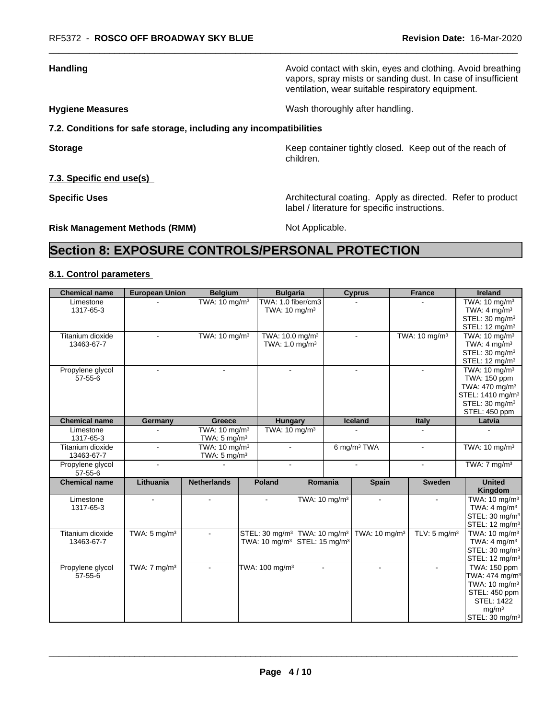**Handling Handling Avoid contact with skin, eyes and clothing. Avoid breathing** vapors, spray mists or sanding dust. In case of insufficient ventilation, wear suitable respiratory equipment.

**Hygiene Measures** Mash thoroughly after handling.

### **7.2. Conditions for safe storage, including any incompatibilities**

**Storage Keep container tightly closed. Keep out of the reach of Keep** container tightly closed. Keep out of the reach of children.

**7.3. Specific end use(s)**

**Specific Uses Architectural coating. Apply as directed. Refer to product Specific Uses** label / literature for specific instructions.

**Risk Management Methods (RMM)** Not Applicable.

# **Section 8: EXPOSURE CONTROLS/PERSONAL PROTECTION**

#### **8.1. Control parameters**

| TWA: 1.0 fiber/cm3<br>TWA: $10 \text{ mg/m}^3$<br>TWA: 10 mg/m <sup>3</sup><br>Limestone<br>TWA: $4 \text{ mg/m}^3$<br>1317-65-3<br>TWA: $10 \text{ mg/m}^3$<br>STEL: 30 mg/m <sup>3</sup><br>STEL: 12 mg/m <sup>3</sup><br>TWA: 10 mg/m <sup>3</sup><br>TWA: 10.0 mg/m <sup>3</sup><br>TWA: 10 mg/m <sup>3</sup><br>Titanium dioxide<br>TWA: 10 mg/m <sup>3</sup><br>$\sim$<br>TWA: $4 \text{ mg/m}^3$<br>TWA: $1.0$ mg/m <sup>3</sup><br>13463-67-7<br>STEL: 30 mg/m <sup>3</sup><br>STEL: $12 \text{ mg/m}^3$<br>TWA: $10 \text{ mg/m}^3$<br>Propylene glycol<br>$\sim$<br>$\mathbf{r}$<br>TWA: 150 ppm<br>$57 - 55 - 6$<br>TWA: 470 mg/m <sup>3</sup><br>STEL: 1410 mg/m <sup>3</sup><br>STEL: 30 mg/m <sup>3</sup><br>STEL: 450 ppm<br>Iceland<br><b>Chemical name</b><br><b>Italy</b><br>Germany<br>Greece<br>Hungary<br>Latvia<br>TWA: 10 mg/m <sup>3</sup><br>TWA: $10 \text{ mg/m}^3$<br>Limestone<br>1317-65-3<br>TWA: $5 \text{ mg/m}^3$<br>6 mg/m <sup>3</sup> TWA<br>TWA: $10 \text{ mg/m}^3$<br>TWA: 10 mg/m <sup>3</sup><br>Titanium dioxide<br>$\sim$<br>$\sim$<br>$\mathbf{r}$<br>TWA: $5 \text{ mg/m}^3$<br>13463-67-7<br>TWA: $7 \text{ mg/m}^3$<br>Propylene glycol<br>$\sim$<br>$\sim$<br>$\sim$<br>$\sim$<br>$57 - 55 - 6$<br><b>United</b><br><b>Chemical name</b><br>Lithuania<br><b>Netherlands</b><br><b>Poland</b><br>Romania<br>Spain<br><b>Sweden</b><br>Kingdom<br>TWA: 10 mg/m <sup>3</sup><br>TWA: 10 mg/m <sup>3</sup><br>Limestone<br>÷<br>$\blacksquare$<br>$\sim$<br>$\sim$<br>TWA: $4 \text{ mg/m}^3$<br>1317-65-3<br>STEL: 30 mg/m <sup>3</sup><br>STEL: 12 mg/m <sup>3</sup><br>Titanium dioxide<br>STEL: 30 mg/m <sup>3</sup><br>TWA: 10 mg/m <sup>3</sup><br>TWA: $10 \text{ mg/m}^3$<br>TWA: 10 mg/m <sup>3</sup><br>TWA: $5 \text{ mg/m}^3$<br>TLV: $5 \text{ mg/m}^3$<br>TWA: 10 mg/m <sup>3</sup> STEL: 15 mg/m <sup>3</sup><br>TWA: $4 \text{ mg/m}^3$<br>13463-67-7<br>STEL: 30 mg/m <sup>3</sup><br>STEL: 12 mg/m <sup>3</sup><br>TWA: 100 mg/m <sup>3</sup><br>TWA: $7 \text{ mg/m}^3$<br><b>TWA: 150 ppm</b><br>Propylene glycol<br>$\sim$<br>$\sim$<br>$\sim$<br>TWA: 474 mg/m <sup>3</sup><br>$57 - 55 - 6$<br>TWA: 10 mg/m <sup>3</sup><br>STEL: 450 ppm<br><b>STEL: 1422</b><br>mg/m <sup>3</sup> | <b>Chemical name</b> | <b>European Union</b> | <b>Belgium</b> | <b>Bulgaria</b> |  | <b>Cyprus</b> | <b>France</b> | <b>Ireland</b>             |
|---------------------------------------------------------------------------------------------------------------------------------------------------------------------------------------------------------------------------------------------------------------------------------------------------------------------------------------------------------------------------------------------------------------------------------------------------------------------------------------------------------------------------------------------------------------------------------------------------------------------------------------------------------------------------------------------------------------------------------------------------------------------------------------------------------------------------------------------------------------------------------------------------------------------------------------------------------------------------------------------------------------------------------------------------------------------------------------------------------------------------------------------------------------------------------------------------------------------------------------------------------------------------------------------------------------------------------------------------------------------------------------------------------------------------------------------------------------------------------------------------------------------------------------------------------------------------------------------------------------------------------------------------------------------------------------------------------------------------------------------------------------------------------------------------------------------------------------------------------------------------------------------------------------------------------------------------------------------------------------------------------------------------------------------------------------------------------------------------------------------------------------------------------------------------------------------------------------------------------------------------------|----------------------|-----------------------|----------------|-----------------|--|---------------|---------------|----------------------------|
|                                                                                                                                                                                                                                                                                                                                                                                                                                                                                                                                                                                                                                                                                                                                                                                                                                                                                                                                                                                                                                                                                                                                                                                                                                                                                                                                                                                                                                                                                                                                                                                                                                                                                                                                                                                                                                                                                                                                                                                                                                                                                                                                                                                                                                                         |                      |                       |                |                 |  |               |               |                            |
|                                                                                                                                                                                                                                                                                                                                                                                                                                                                                                                                                                                                                                                                                                                                                                                                                                                                                                                                                                                                                                                                                                                                                                                                                                                                                                                                                                                                                                                                                                                                                                                                                                                                                                                                                                                                                                                                                                                                                                                                                                                                                                                                                                                                                                                         |                      |                       |                |                 |  |               |               |                            |
|                                                                                                                                                                                                                                                                                                                                                                                                                                                                                                                                                                                                                                                                                                                                                                                                                                                                                                                                                                                                                                                                                                                                                                                                                                                                                                                                                                                                                                                                                                                                                                                                                                                                                                                                                                                                                                                                                                                                                                                                                                                                                                                                                                                                                                                         |                      |                       |                |                 |  |               |               |                            |
|                                                                                                                                                                                                                                                                                                                                                                                                                                                                                                                                                                                                                                                                                                                                                                                                                                                                                                                                                                                                                                                                                                                                                                                                                                                                                                                                                                                                                                                                                                                                                                                                                                                                                                                                                                                                                                                                                                                                                                                                                                                                                                                                                                                                                                                         |                      |                       |                |                 |  |               |               |                            |
|                                                                                                                                                                                                                                                                                                                                                                                                                                                                                                                                                                                                                                                                                                                                                                                                                                                                                                                                                                                                                                                                                                                                                                                                                                                                                                                                                                                                                                                                                                                                                                                                                                                                                                                                                                                                                                                                                                                                                                                                                                                                                                                                                                                                                                                         |                      |                       |                |                 |  |               |               |                            |
|                                                                                                                                                                                                                                                                                                                                                                                                                                                                                                                                                                                                                                                                                                                                                                                                                                                                                                                                                                                                                                                                                                                                                                                                                                                                                                                                                                                                                                                                                                                                                                                                                                                                                                                                                                                                                                                                                                                                                                                                                                                                                                                                                                                                                                                         |                      |                       |                |                 |  |               |               |                            |
|                                                                                                                                                                                                                                                                                                                                                                                                                                                                                                                                                                                                                                                                                                                                                                                                                                                                                                                                                                                                                                                                                                                                                                                                                                                                                                                                                                                                                                                                                                                                                                                                                                                                                                                                                                                                                                                                                                                                                                                                                                                                                                                                                                                                                                                         |                      |                       |                |                 |  |               |               |                            |
|                                                                                                                                                                                                                                                                                                                                                                                                                                                                                                                                                                                                                                                                                                                                                                                                                                                                                                                                                                                                                                                                                                                                                                                                                                                                                                                                                                                                                                                                                                                                                                                                                                                                                                                                                                                                                                                                                                                                                                                                                                                                                                                                                                                                                                                         |                      |                       |                |                 |  |               |               |                            |
|                                                                                                                                                                                                                                                                                                                                                                                                                                                                                                                                                                                                                                                                                                                                                                                                                                                                                                                                                                                                                                                                                                                                                                                                                                                                                                                                                                                                                                                                                                                                                                                                                                                                                                                                                                                                                                                                                                                                                                                                                                                                                                                                                                                                                                                         |                      |                       |                |                 |  |               |               |                            |
|                                                                                                                                                                                                                                                                                                                                                                                                                                                                                                                                                                                                                                                                                                                                                                                                                                                                                                                                                                                                                                                                                                                                                                                                                                                                                                                                                                                                                                                                                                                                                                                                                                                                                                                                                                                                                                                                                                                                                                                                                                                                                                                                                                                                                                                         |                      |                       |                |                 |  |               |               |                            |
|                                                                                                                                                                                                                                                                                                                                                                                                                                                                                                                                                                                                                                                                                                                                                                                                                                                                                                                                                                                                                                                                                                                                                                                                                                                                                                                                                                                                                                                                                                                                                                                                                                                                                                                                                                                                                                                                                                                                                                                                                                                                                                                                                                                                                                                         |                      |                       |                |                 |  |               |               |                            |
|                                                                                                                                                                                                                                                                                                                                                                                                                                                                                                                                                                                                                                                                                                                                                                                                                                                                                                                                                                                                                                                                                                                                                                                                                                                                                                                                                                                                                                                                                                                                                                                                                                                                                                                                                                                                                                                                                                                                                                                                                                                                                                                                                                                                                                                         |                      |                       |                |                 |  |               |               |                            |
|                                                                                                                                                                                                                                                                                                                                                                                                                                                                                                                                                                                                                                                                                                                                                                                                                                                                                                                                                                                                                                                                                                                                                                                                                                                                                                                                                                                                                                                                                                                                                                                                                                                                                                                                                                                                                                                                                                                                                                                                                                                                                                                                                                                                                                                         |                      |                       |                |                 |  |               |               |                            |
|                                                                                                                                                                                                                                                                                                                                                                                                                                                                                                                                                                                                                                                                                                                                                                                                                                                                                                                                                                                                                                                                                                                                                                                                                                                                                                                                                                                                                                                                                                                                                                                                                                                                                                                                                                                                                                                                                                                                                                                                                                                                                                                                                                                                                                                         |                      |                       |                |                 |  |               |               |                            |
|                                                                                                                                                                                                                                                                                                                                                                                                                                                                                                                                                                                                                                                                                                                                                                                                                                                                                                                                                                                                                                                                                                                                                                                                                                                                                                                                                                                                                                                                                                                                                                                                                                                                                                                                                                                                                                                                                                                                                                                                                                                                                                                                                                                                                                                         |                      |                       |                |                 |  |               |               |                            |
|                                                                                                                                                                                                                                                                                                                                                                                                                                                                                                                                                                                                                                                                                                                                                                                                                                                                                                                                                                                                                                                                                                                                                                                                                                                                                                                                                                                                                                                                                                                                                                                                                                                                                                                                                                                                                                                                                                                                                                                                                                                                                                                                                                                                                                                         |                      |                       |                |                 |  |               |               |                            |
|                                                                                                                                                                                                                                                                                                                                                                                                                                                                                                                                                                                                                                                                                                                                                                                                                                                                                                                                                                                                                                                                                                                                                                                                                                                                                                                                                                                                                                                                                                                                                                                                                                                                                                                                                                                                                                                                                                                                                                                                                                                                                                                                                                                                                                                         |                      |                       |                |                 |  |               |               |                            |
|                                                                                                                                                                                                                                                                                                                                                                                                                                                                                                                                                                                                                                                                                                                                                                                                                                                                                                                                                                                                                                                                                                                                                                                                                                                                                                                                                                                                                                                                                                                                                                                                                                                                                                                                                                                                                                                                                                                                                                                                                                                                                                                                                                                                                                                         |                      |                       |                |                 |  |               |               |                            |
|                                                                                                                                                                                                                                                                                                                                                                                                                                                                                                                                                                                                                                                                                                                                                                                                                                                                                                                                                                                                                                                                                                                                                                                                                                                                                                                                                                                                                                                                                                                                                                                                                                                                                                                                                                                                                                                                                                                                                                                                                                                                                                                                                                                                                                                         |                      |                       |                |                 |  |               |               |                            |
|                                                                                                                                                                                                                                                                                                                                                                                                                                                                                                                                                                                                                                                                                                                                                                                                                                                                                                                                                                                                                                                                                                                                                                                                                                                                                                                                                                                                                                                                                                                                                                                                                                                                                                                                                                                                                                                                                                                                                                                                                                                                                                                                                                                                                                                         |                      |                       |                |                 |  |               |               |                            |
|                                                                                                                                                                                                                                                                                                                                                                                                                                                                                                                                                                                                                                                                                                                                                                                                                                                                                                                                                                                                                                                                                                                                                                                                                                                                                                                                                                                                                                                                                                                                                                                                                                                                                                                                                                                                                                                                                                                                                                                                                                                                                                                                                                                                                                                         |                      |                       |                |                 |  |               |               |                            |
|                                                                                                                                                                                                                                                                                                                                                                                                                                                                                                                                                                                                                                                                                                                                                                                                                                                                                                                                                                                                                                                                                                                                                                                                                                                                                                                                                                                                                                                                                                                                                                                                                                                                                                                                                                                                                                                                                                                                                                                                                                                                                                                                                                                                                                                         |                      |                       |                |                 |  |               |               |                            |
|                                                                                                                                                                                                                                                                                                                                                                                                                                                                                                                                                                                                                                                                                                                                                                                                                                                                                                                                                                                                                                                                                                                                                                                                                                                                                                                                                                                                                                                                                                                                                                                                                                                                                                                                                                                                                                                                                                                                                                                                                                                                                                                                                                                                                                                         |                      |                       |                |                 |  |               |               |                            |
|                                                                                                                                                                                                                                                                                                                                                                                                                                                                                                                                                                                                                                                                                                                                                                                                                                                                                                                                                                                                                                                                                                                                                                                                                                                                                                                                                                                                                                                                                                                                                                                                                                                                                                                                                                                                                                                                                                                                                                                                                                                                                                                                                                                                                                                         |                      |                       |                |                 |  |               |               |                            |
|                                                                                                                                                                                                                                                                                                                                                                                                                                                                                                                                                                                                                                                                                                                                                                                                                                                                                                                                                                                                                                                                                                                                                                                                                                                                                                                                                                                                                                                                                                                                                                                                                                                                                                                                                                                                                                                                                                                                                                                                                                                                                                                                                                                                                                                         |                      |                       |                |                 |  |               |               |                            |
|                                                                                                                                                                                                                                                                                                                                                                                                                                                                                                                                                                                                                                                                                                                                                                                                                                                                                                                                                                                                                                                                                                                                                                                                                                                                                                                                                                                                                                                                                                                                                                                                                                                                                                                                                                                                                                                                                                                                                                                                                                                                                                                                                                                                                                                         |                      |                       |                |                 |  |               |               |                            |
|                                                                                                                                                                                                                                                                                                                                                                                                                                                                                                                                                                                                                                                                                                                                                                                                                                                                                                                                                                                                                                                                                                                                                                                                                                                                                                                                                                                                                                                                                                                                                                                                                                                                                                                                                                                                                                                                                                                                                                                                                                                                                                                                                                                                                                                         |                      |                       |                |                 |  |               |               |                            |
|                                                                                                                                                                                                                                                                                                                                                                                                                                                                                                                                                                                                                                                                                                                                                                                                                                                                                                                                                                                                                                                                                                                                                                                                                                                                                                                                                                                                                                                                                                                                                                                                                                                                                                                                                                                                                                                                                                                                                                                                                                                                                                                                                                                                                                                         |                      |                       |                |                 |  |               |               |                            |
|                                                                                                                                                                                                                                                                                                                                                                                                                                                                                                                                                                                                                                                                                                                                                                                                                                                                                                                                                                                                                                                                                                                                                                                                                                                                                                                                                                                                                                                                                                                                                                                                                                                                                                                                                                                                                                                                                                                                                                                                                                                                                                                                                                                                                                                         |                      |                       |                |                 |  |               |               |                            |
|                                                                                                                                                                                                                                                                                                                                                                                                                                                                                                                                                                                                                                                                                                                                                                                                                                                                                                                                                                                                                                                                                                                                                                                                                                                                                                                                                                                                                                                                                                                                                                                                                                                                                                                                                                                                                                                                                                                                                                                                                                                                                                                                                                                                                                                         |                      |                       |                |                 |  |               |               |                            |
|                                                                                                                                                                                                                                                                                                                                                                                                                                                                                                                                                                                                                                                                                                                                                                                                                                                                                                                                                                                                                                                                                                                                                                                                                                                                                                                                                                                                                                                                                                                                                                                                                                                                                                                                                                                                                                                                                                                                                                                                                                                                                                                                                                                                                                                         |                      |                       |                |                 |  |               |               |                            |
|                                                                                                                                                                                                                                                                                                                                                                                                                                                                                                                                                                                                                                                                                                                                                                                                                                                                                                                                                                                                                                                                                                                                                                                                                                                                                                                                                                                                                                                                                                                                                                                                                                                                                                                                                                                                                                                                                                                                                                                                                                                                                                                                                                                                                                                         |                      |                       |                |                 |  |               |               | STEL: 30 mg/m <sup>3</sup> |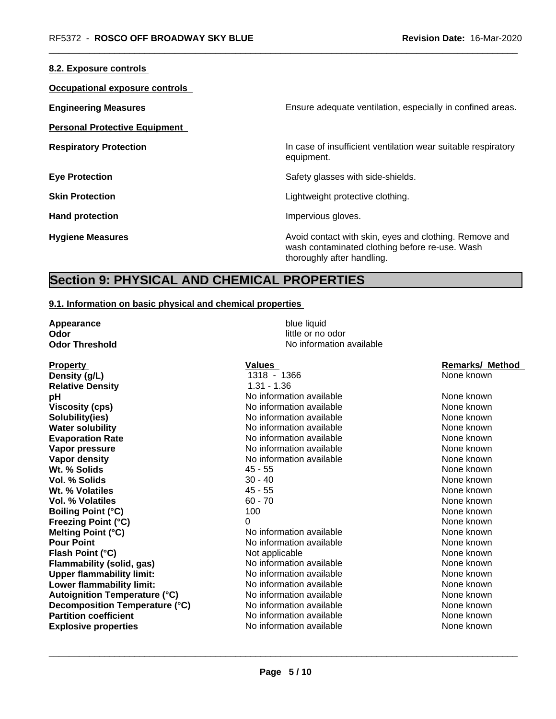| Ensure adequate ventilation, especially in confined areas.                                                                             |
|----------------------------------------------------------------------------------------------------------------------------------------|
|                                                                                                                                        |
| In case of insufficient ventilation wear suitable respiratory<br>equipment.                                                            |
| Safety glasses with side-shields.                                                                                                      |
| Lightweight protective clothing.                                                                                                       |
| Impervious gloves.                                                                                                                     |
| Avoid contact with skin, eyes and clothing. Remove and<br>wash contaminated clothing before re-use. Wash<br>thoroughly after handling. |
|                                                                                                                                        |

## **Section 9: PHYSICAL AND CHEMICAL PROPERTIES**

#### **9.1. Information on basic physical and chemical properties**

| Appearance            | blue liquid              |
|-----------------------|--------------------------|
| Odor                  | little or no odor        |
| <b>Odor Threshold</b> | No information available |

Property **Values** Values **Values** 1366 **Remarks/ Method Density (at Lease 1318 - 1366** Remarks/ Method **Remarks/ Method Density (g/L)** 1318 - 1366 None known **Relative Density** 1.31 - 1.36 **pH Notify PH** Note that Meridian available **None known** None known **Viscosity (cps)** Noinformation available None known None known **Solubility(ies)** Noinformation available None known **Water solubility** Note 2008 Note 2012 Note 2012 None known None known None known **Evaporation Rate No information available None known**<br> **Vapor pressure None known**<br>
None known<br>
None known **Vapor density No** information available **Wt. % Solids All and Solids 45 - 55** All and the set of the set of the set of the set of the set of the set of the set of the set of the set of the set of the set of the set of the set of the set of the set of the set **Vol. % Solids** 30 - 40 None known **Wt. % Volatiles All and Solution Contract All and All and All and All and All and All and All and All and All and All and All and All and All and All and All and All and All and All and All and All and All and All and A Vol. % Volatiles** 60 - 70 None known **Boiling Point (°C)** 100 100 None known **Freezing Point (°C)** 0 0 0 None known **Melting Point (°C)** No information available None known **Pour Point** No information available None known None known **Flash Point (°C) Not applicable None known None known Flammability (solid, gas)** No information available and the None known None known<br>
Unner flammability limit: None Known No information available and the None known **Upper flammability limit:** No information available<br> **Lower flammability limit:** No information available **Lower flammability limit:** No information available None known None known **Autoignition Temperature (°C)**  $\qquad$  No information available  $\qquad$  None known  $\qquad$  None known  $\qquad$  None known  $\qquad$  None known  $\qquad$  None known  $\qquad$  None known  $\qquad$  None known  $\qquad$  None known  $\qquad$  None known  $\qquad$  **Decomposition Temperature (°C) Partition coefficient** and the information available None known None known **Explosive properties** The None Known No information available None Known None known

**Value No information available None known**<br> **Vapor pressures None known**<br>
None known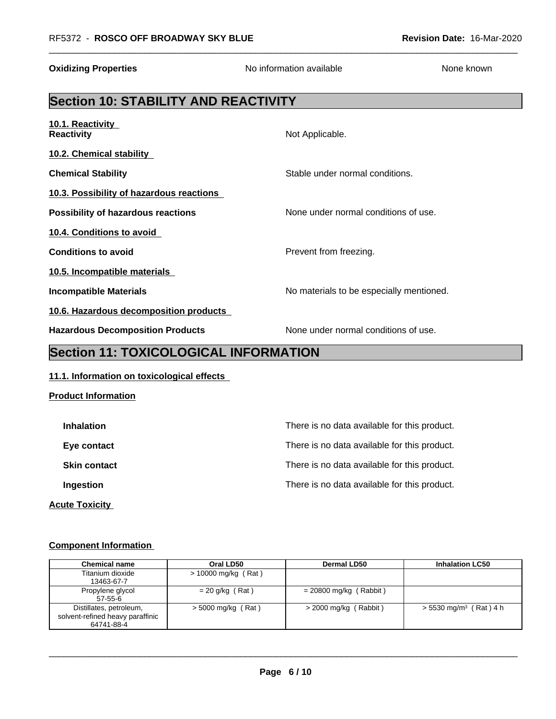# **Section 10: STABILITY AND REACTIVITY**

| 10.1. Reactivity<br><b>Reactivity</b>     | Not Applicable.                          |
|-------------------------------------------|------------------------------------------|
| 10.2. Chemical stability                  |                                          |
| <b>Chemical Stability</b>                 | Stable under normal conditions.          |
| 10.3. Possibility of hazardous reactions  |                                          |
| <b>Possibility of hazardous reactions</b> | None under normal conditions of use.     |
| 10.4. Conditions to avoid                 |                                          |
| <b>Conditions to avoid</b>                | Prevent from freezing.                   |
| 10.5. Incompatible materials              |                                          |
| Incompatible Materials                    | No materials to be especially mentioned. |
| 10.6. Hazardous decomposition products    |                                          |
| <b>Hazardous Decomposition Products</b>   | None under normal conditions of use.     |

**Oxidizing Properties No information available** None known

# **Section 11: TOXICOLOGICAL INFORMATION**

#### **11.1. Information on toxicological effects**

| <b>Product Information</b> |                                              |
|----------------------------|----------------------------------------------|
| <b>Inhalation</b>          | There is no data available for this product. |
| Eye contact                | There is no data available for this product. |
| <b>Skin contact</b>        | There is no data available for this product. |
| Ingestion                  | There is no data available for this product. |
| <b>Acute Toxicity</b>      |                                              |

#### **Component Information**

| <b>Chemical name</b>                                                      | Oral LD50            | <b>Dermal LD50</b>       | <b>Inhalation LC50</b>               |
|---------------------------------------------------------------------------|----------------------|--------------------------|--------------------------------------|
| Titanium dioxide<br>13463-67-7                                            | > 10000 mg/kg (Rat)  |                          |                                      |
| Propylene glycol<br>$57-55-6$                                             | = 20 g/kg (Rat)      | $= 20800$ mg/kg (Rabbit) |                                      |
| Distillates, petroleum,<br>solvent-refined heavy paraffinic<br>64741-88-4 | $>$ 5000 mg/kg (Rat) | $>$ 2000 mg/kg (Rabbit)  | $> 5530$ mg/m <sup>3</sup> (Rat) 4 h |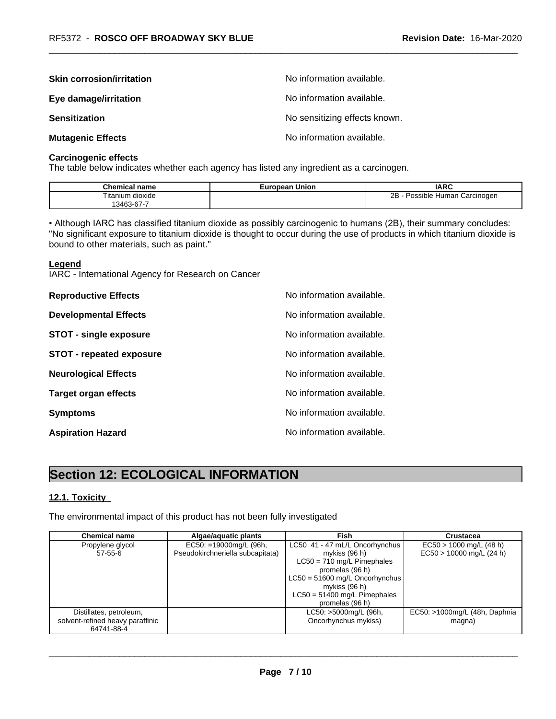| <b>Skin corrosion/irritation</b> | No information available.     |
|----------------------------------|-------------------------------|
| Eye damage/irritation            | No information available.     |
| <b>Sensitization</b>             | No sensitizing effects known. |
| <b>Mutagenic Effects</b>         | No information available.     |

#### **Carcinogenic effects**

The table below indicates whether each agency has listed any ingredient as a carcinogen.

| <b>Chemical</b><br>name                              | European Union | <b>IARC</b>                                    |
|------------------------------------------------------|----------------|------------------------------------------------|
| Titanium dioxide<br>$\sim$ $\sim$<br>$3463 - 67 - 7$ |                | 2B<br><b>Human</b><br>. Carcinogen<br>Possible |

• Although IARC has classified titanium dioxide as possibly carcinogenic to humans (2B), their summary concludes: "No significant exposure to titanium dioxide is thought to occur during the use of products in which titanium dioxide is bound to other materials, such as paint."

#### **Legend**

IARC - International Agency for Research on Cancer

| <b>Reproductive Effects</b>     | No information available. |
|---------------------------------|---------------------------|
| <b>Developmental Effects</b>    | No information available. |
| <b>STOT - single exposure</b>   | No information available. |
| <b>STOT - repeated exposure</b> | No information available. |
| <b>Neurological Effects</b>     | No information available. |
| <b>Target organ effects</b>     | No information available. |
| <b>Symptoms</b>                 | No information available. |
| <b>Aspiration Hazard</b>        | No information available. |

# **Section 12: ECOLOGICAL INFORMATION**

#### **12.1. Toxicity**

The environmental impact of this product has not been fully investigated

| <b>Chemical name</b>             | Algae/aguatic plants             | Fish                                            | <b>Crustacea</b>              |
|----------------------------------|----------------------------------|-------------------------------------------------|-------------------------------|
| Propylene glycol                 | $EC50: =19000$ mg/L (96h,        | LC50 41 - 47 mL/L Oncorhynchus                  | $EC50 > 1000$ mg/L (48 h)     |
| $57 - 55 - 6$                    | Pseudokirchneriella subcapitata) | mykiss (96 h)                                   | $EC50 > 10000$ mg/L (24 h)    |
|                                  |                                  | $LC50 = 710$ mg/L Pimephales                    |                               |
|                                  |                                  | promelas (96 h)                                 |                               |
|                                  |                                  | $LC50 = 51600$ mg/L Oncorhynchus                |                               |
|                                  |                                  | mykiss (96 h)<br>$LC50 = 51400$ mg/L Pimephales |                               |
|                                  |                                  | promelas (96 h)                                 |                               |
| Distillates, petroleum,          |                                  | LC50: >5000mg/L (96h,                           | EC50: >1000mg/L (48h, Daphnia |
| solvent-refined heavy paraffinic |                                  | Oncorhynchus mykiss)                            | magna)                        |
| 64741-88-4                       |                                  |                                                 |                               |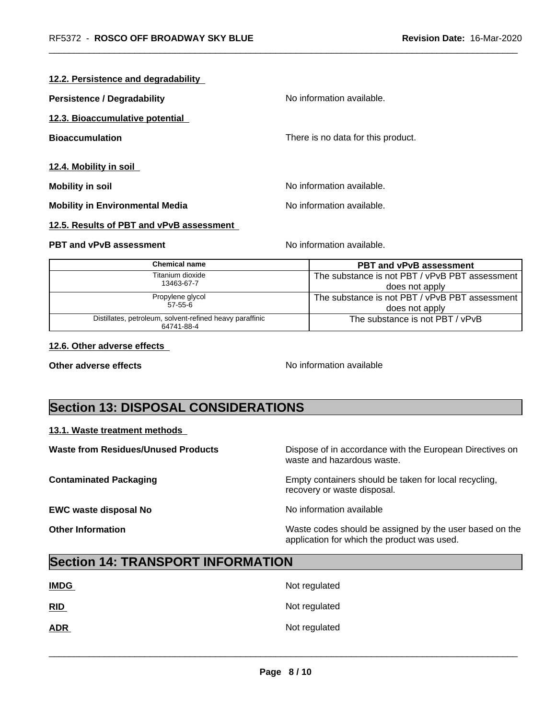#### **12.2. Persistence and degradability**

| <b>Persistence / Degradability</b>     | No information available.          |
|----------------------------------------|------------------------------------|
| 12.3. Bioaccumulative potential        |                                    |
| <b>Bioaccumulation</b>                 | There is no data for this product. |
| 12.4. Mobility in soil                 |                                    |
| <b>Mobility in soil</b>                | No information available.          |
| <b>Mobility in Environmental Media</b> | No information available.          |

#### **12.5. Results of PBT and vPvB assessment**

#### **PBT and vPvB assessment** No information available.

| Chemical name                                            | <b>PBT and vPvB assessment</b>                 |
|----------------------------------------------------------|------------------------------------------------|
| Titanium dioxide                                         | The substance is not PBT / vPvB PBT assessment |
| 13463-67-7                                               | does not apply                                 |
| Propylene glycol                                         | The substance is not PBT / vPvB PBT assessment |
| 57-55-6                                                  | does not apply                                 |
| Distillates, petroleum, solvent-refined heavy paraffinic | The substance is not PBT / vPvB                |
| 64741-88-4                                               |                                                |

#### **12.6. Other adverse effects**

**Other adverse effects** Noinformation available

# **Section 13: DISPOSAL CONSIDERATIONS**

#### **13.1. Waste treatment methods**

| <b>Waste from Residues/Unused Products</b> | Dispose of in accordance with the European Directives on<br>waste and hazardous waste.                 |
|--------------------------------------------|--------------------------------------------------------------------------------------------------------|
| <b>Contaminated Packaging</b>              | Empty containers should be taken for local recycling,<br>recovery or waste disposal.                   |
| <b>EWC waste disposal No</b>               | No information available                                                                               |
| <b>Other Information</b>                   | Waste codes should be assigned by the user based on the<br>application for which the product was used. |

# **Section 14: TRANSPORT INFORMATION**

| <b>IMDG</b> | Not regulated |
|-------------|---------------|
| <u>RID</u>  | Not regulated |
| <b>ADR</b>  | Not regulated |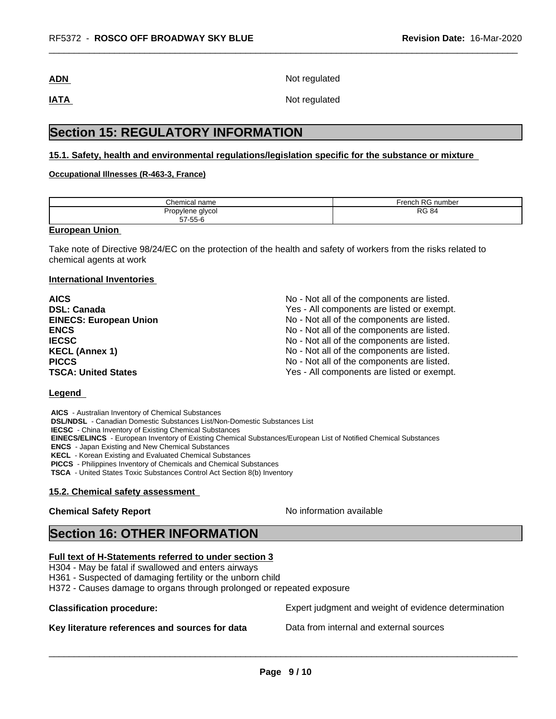**ADN** Not regulated

**IATA** Not regulated

# **Section 15: REGULATORY INFORMATION**

#### **15.1. Safety, health and environmental regulations/legislation specific for the substance or mixture**

#### **Occupational Illnesses (R-463-3, France)**

| Chemical name    | $F$ rench RC<br>3 number<br>∴ ⊏ ⊼ |
|------------------|-----------------------------------|
| Propylene glycol | D <sub>C</sub>                    |
| 57-55-6          | <b>RG 84</b>                      |

#### **European Union**

Take note of Directive 98/24/EC on the protection of the health and safety of workers from the risks related to chemical agents at work

#### **International Inventories**

| <b>AICS</b>                   | No - Not all of the components are listed. |
|-------------------------------|--------------------------------------------|
| <b>DSL: Canada</b>            | Yes - All components are listed or exempt. |
| <b>EINECS: European Union</b> | No - Not all of the components are listed. |
| <b>ENCS</b>                   | No - Not all of the components are listed. |
| <b>IECSC</b>                  | No - Not all of the components are listed. |
| <b>KECL (Annex 1)</b>         | No - Not all of the components are listed. |
| <b>PICCS</b>                  | No - Not all of the components are listed. |
| <b>TSCA: United States</b>    | Yes - All components are listed or exempt. |

#### **Legend**

 **AICS** - Australian Inventory of Chemical Substances  **DSL/NDSL** - Canadian Domestic Substances List/Non-Domestic Substances List  **IECSC** - China Inventory of Existing Chemical Substances  **EINECS/ELINCS** - European Inventory of Existing Chemical Substances/European List of Notified Chemical Substances  **ENCS** - Japan Existing and New Chemical Substances  **KECL** - Korean Existing and Evaluated Chemical Substances  **PICCS** - Philippines Inventory of Chemicals and Chemical Substances  **TSCA** - United States Toxic Substances Control Act Section 8(b) Inventory

### **15.2. Chemical safety assessment**

#### **Chemical Safety Report** Noinformation available

 $\overline{\phantom{a}}$  ,  $\overline{\phantom{a}}$  ,  $\overline{\phantom{a}}$  ,  $\overline{\phantom{a}}$  ,  $\overline{\phantom{a}}$  ,  $\overline{\phantom{a}}$  ,  $\overline{\phantom{a}}$  ,  $\overline{\phantom{a}}$  ,  $\overline{\phantom{a}}$  ,  $\overline{\phantom{a}}$  ,  $\overline{\phantom{a}}$  ,  $\overline{\phantom{a}}$  ,  $\overline{\phantom{a}}$  ,  $\overline{\phantom{a}}$  ,  $\overline{\phantom{a}}$  ,  $\overline{\phantom{a}}$ 

# **Section 16: OTHER INFORMATION**

#### **Full text of H-Statements referred to under section 3**

H304 - May be fatal if swallowed and enters airways

H361 - Suspected of damaging fertility or the unborn child

H372 - Causes damage to organs through prolonged or repeated exposure

#### **Key literature references and sources for data** Data from internal and external sources

**Classification procedure:** Expert judgment and weight of evidence determination